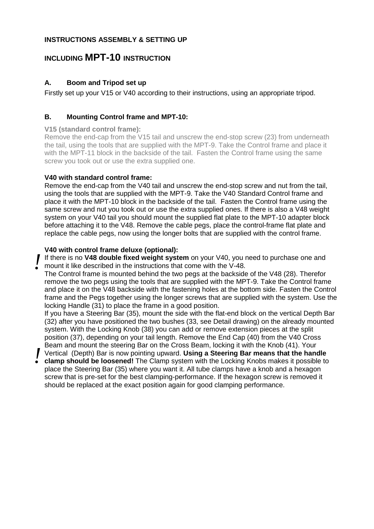#### **INSTRUCTIONS ASSEMBLY & SETTING UP**

## **INCLUDING MPT-10 INSTRUCTION**

### **A. Boom and Tripod set up**

Firstly set up your V15 or V40 according to their instructions, using an appropriate tripod.

#### **B. Mounting Control frame and MPT-10:**

#### **V15 (standard control frame):**

Remove the end-cap from the V15 tail and unscrew the end-stop screw (23) from underneath the tail, using the tools that are supplied with the MPT-9. Take the Control frame and place it with the MPT-11 block in the backside of the tail. Fasten the Control frame using the same screw you took out or use the extra supplied one.

#### **V40 with standard control frame:**

Remove the end-cap from the V40 tail and unscrew the end-stop screw and nut from the tail, using the tools that are supplied with the MPT-9. Take the V40 Standard Control frame and place it with the MPT-10 block in the backside of the tail. Fasten the Control frame using the same screw and nut you took out or use the extra supplied ones. If there is also a V48 weight system on your V40 tail you should mount the supplied flat plate to the MPT-10 adapter block before attaching it to the V48. Remove the cable pegs, place the control-frame flat plate and replace the cable pegs, now using the longer bolts that are supplied with the control frame.

#### **V40 with control frame deluxe (optional):**

If there is no **V48 double fixed weight system** on your V40, you need to purchase one and mount it like described in the instructions that come with the V-48. *!*

The Control frame is mounted behind the two pegs at the backside of the V48 (28). Therefor remove the two pegs using the tools that are supplied with the MPT-9. Take the Control frame and place it on the V48 backside with the fastening holes at the bottom side. Fasten the Control frame and the Pegs together using the longer screws that are supplied with the system. Use the locking Handle (31) to place the frame in a good position.

If you have a Steering Bar (35), mount the side with the flat-end block on the vertical Depth Bar (32) after you have positioned the two bushes (33, see Detail drawing) on the already mounted system. With the Locking Knob (38) you can add or remove extension pieces at the split position (37), depending on your tail length. Remove the End Cap (40) from the V40 Cross Beam and mount the steering Bar on the Cross Beam, locking it with the Knob (41). Your

Vertical (Depth) Bar is now pointing upward. Using a Steering Bar means that the handle<br> **Clamp should be loosened!** The Clamp system with the Locking Knobs makes it possible to **clamp should be loosened!** The Clamp system with the Locking Knobs makes it possible to place the Steering Bar (35) where you want it. All tube clamps have a knob and a hexagon screw that is pre-set for the best clamping-performance. If the hexagon screw is removed it should be replaced at the exact position again for good clamping performance.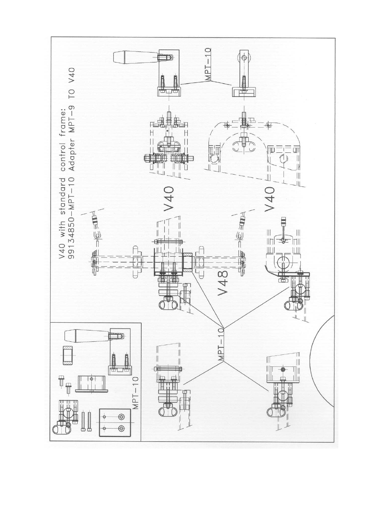